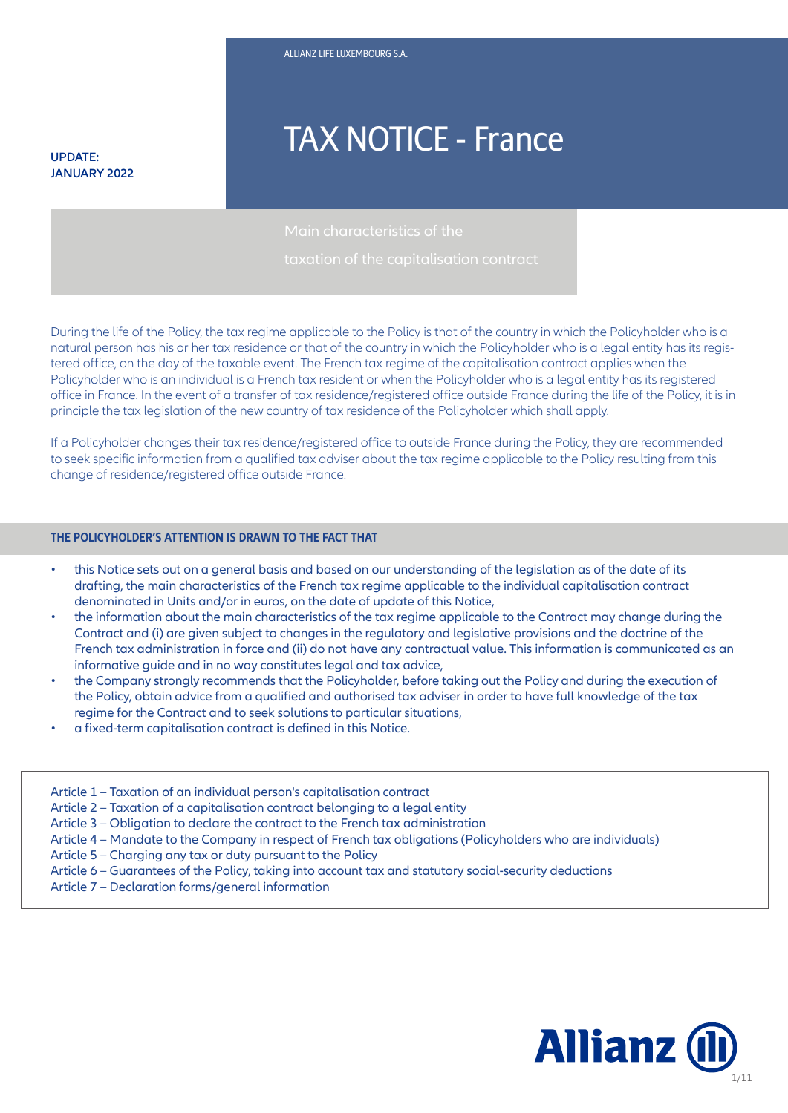**UPDATE: JANUARY 2022**

# TAX NOTICE - France

During the life of the Policy, the tax regime applicable to the Policy is that of the country in which the Policyholder who is a natural person has his or her tax residence or that of the country in which the Policyholder who is a legal entity has its registered office, on the day of the taxable event. The French tax regime of the capitalisation contract applies when the Policyholder who is an individual is a French tax resident or when the Policyholder who is a legal entity has its registered office in France. In the event of a transfer of tax residence/registered office outside France during the life of the Policy, it is in principle the tax legislation of the new country of tax residence of the Policyholder which shall apply.

If a Policyholder changes their tax residence/registered office to outside France during the Policy, they are recommended to seek specific information from a qualified tax adviser about the tax regime applicable to the Policy resulting from this change of residence/registered office outside France.

#### **THE POLICYHOLDER'S ATTENTION IS DRAWN TO THE FACT THAT**

- this Notice sets out on a general basis and based on our understanding of the legislation as of the date of its drafting, the main characteristics of the French tax regime applicable to the individual capitalisation contract denominated in Units and/or in euros, on the date of update of this Notice,
- the information about the main characteristics of the tax regime applicable to the Contract may change during the Contract and (i) are given subject to changes in the regulatory and legislative provisions and the doctrine of the French tax administration in force and (ii) do not have any contractual value. This information is communicated as an informative guide and in no way constitutes legal and tax advice,
- the Company strongly recommends that the Policyholder, before taking out the Policy and during the execution of the Policy, obtain advice from a qualified and authorised tax adviser in order to have full knowledge of the tax regime for the Contract and to seek solutions to particular situations,

**€2.808m**

- a fixed-term capitalisation contract is defined in this Notice.
- Article 1 Taxation of an individual person's capitalisation contract Article 2 – Taxation of a capitalisation contract belonging to a legal entity Article 3 – Obligation to declare the contract to the French tax administration Article 4 – Mandate to the Company in respect of French tax obligations (Policyholders who are individuals) Article 5 – Charging any tax or duty pursuant to the Policy Article 6 – Guarantees of the Policy, taking into account tax and statutory social-security deductions Article 7 – Declaration forms/general information

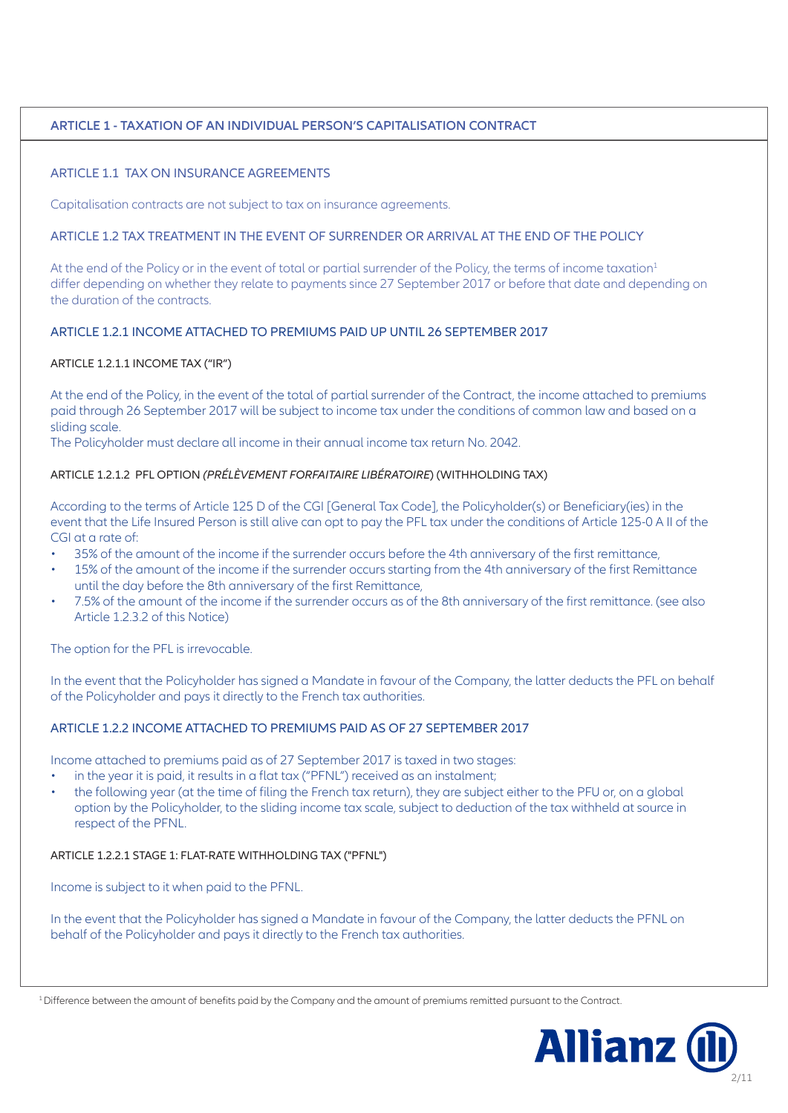# **ARTICLE 1 - TAXATION OF AN INDIVIDUAL PERSON'S CAPITALISATION CONTRACT**

# ARTICLE 1.1 TAX ON INSURANCE AGREEMENTS

Capitalisation contracts are not subject to tax on insurance agreements.

#### ARTICLE 1.2 TAX TREATMENT IN THE EVENT OF SURRENDER OR ARRIVAL AT THE END OF THE POLICY

At the end of the Policy or in the event of total or partial surrender of the Policy, the terms of income taxation<sup>1</sup> differ depending on whether they relate to payments since 27 September 2017 or before that date and depending on the duration of the contracts.

#### ARTICLE 1.2.1 INCOME ATTACHED TO PREMIUMS PAID UP UNTIL 26 SEPTEMBER 2017

#### ARTICLE 1.2.1.1 INCOME TAX ("IR")

At the end of the Policy, in the event of the total of partial surrender of the Contract, the income attached to premiums paid through 26 September 2017 will be subject to income tax under the conditions of common law and based on a sliding scale.

The Policyholder must declare all income in their annual income tax return No. 2042.

#### ARTICLE 1.2.1.2 PFL OPTION *(PRÉLÈVEMENT FORFAITAIRE LIBÉRATOIRE*) (WITHHOLDING TAX)

According to the terms of Article 125 D of the CGI [General Tax Code], the Policyholder(s) or Beneficiary(ies) in the event that the Life Insured Person is still alive can opt to pay the PFL tax under the conditions of Article 125-0 A II of the CGI at a rate of:

- 35% of the amount of the income if the surrender occurs before the 4th anniversary of the first remittance,
- 15% of the amount of the income if the surrender occurs starting from the 4th anniversary of the first Remittance until the day before the 8th anniversary of the first Remittance,
- 7.5% of the amount of the income if the surrender occurs as of the 8th anniversary of the first remittance. (see also Article 1.2.3.2 of this Notice)

The option for the PFL is irrevocable.

In the event that the Policyholder has signed a Mandate in favour of the Company, the latter deducts the PFL on behalf of the Policyholder and pays it directly to the French tax authorities.

## ARTICLE 1.2.2 INCOME ATTACHED TO PREMIUMS PAID AS OF 27 SEPTEMBER 2017

Income attached to premiums paid as of 27 September 2017 is taxed in two stages:

- in the year it is paid, it results in a flat tax ("PFNL") received as an instalment;
- the following year (at the time of filing the French tax return), they are subject either to the PFU or, on a global option by the Policyholder, to the sliding income tax scale, subject to deduction of the tax withheld at source in respect of the PFNL.

#### ARTICLE 1.2.2.1 STAGE 1: FLAT-RATE WITHHOLDING TAX ("PFNL")

Income is subject to it when paid to the PFNL.

In the event that the Policyholder has signed a Mandate in favour of the Company, the latter deducts the PFNL on behalf of the Policyholder and pays it directly to the French tax authorities.

<sup>1</sup> Difference between the amount of benefits paid by the Company and the amount of premiums remitted pursuant to the Contract.

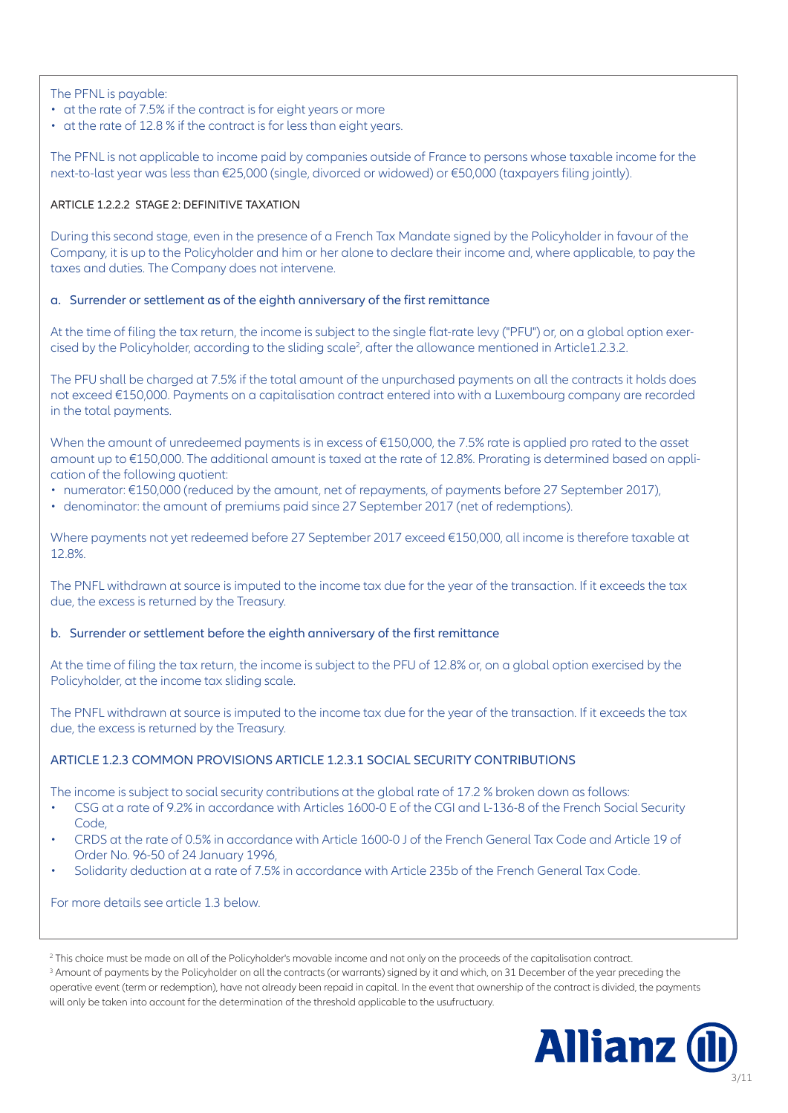The PFNL is payable:

- at the rate of 7.5% if the contract is for eight years or more
- at the rate of 12.8 % if the contract is for less than eight years.

The PFNL is not applicable to income paid by companies outside of France to persons whose taxable income for the next-to-last year was less than €25,000 (single, divorced or widowed) or €50,000 (taxpayers filing jointly).

## ARTICLE 1.2.2.2 STAGE 2: DEFINITIVE TAXATION

During this second stage, even in the presence of a French Tax Mandate signed by the Policyholder in favour of the Company, it is up to the Policyholder and him or her alone to declare their income and, where applicable, to pay the taxes and duties. The Company does not intervene.

## a. Surrender or settlement as of the eighth anniversary of the first remittance

At the time of filing the tax return, the income is subject to the single flat-rate levy ("PFU") or, on a global option exercised by the Policyholder, according to the sliding scale<sup>2</sup>, after the allowance mentioned in Article1.2.3.2.

The PFU shall be charged at 7.5% if the total amount of the unpurchased payments on all the contracts it holds does not exceed €150,000. Payments on a capitalisation contract entered into with a Luxembourg company are recorded in the total payments.

When the amount of unredeemed payments is in excess of €150,000, the 7.5% rate is applied pro rated to the asset amount up to €150,000. The additional amount is taxed at the rate of 12.8%. Prorating is determined based on application of the following quotient:

- numerator: €150,000 (reduced by the amount, net of repayments, of payments before 27 September 2017),
- denominator: the amount of premiums paid since 27 September 2017 (net of redemptions).

Where payments not yet redeemed before 27 September 2017 exceed €150,000, all income is therefore taxable at 12.8%.

The PNFL withdrawn at source is imputed to the income tax due for the year of the transaction. If it exceeds the tax due, the excess is returned by the Treasury.

#### b. Surrender or settlement before the eighth anniversary of the first remittance

At the time of filing the tax return, the income is subject to the PFU of 12.8% or, on a global option exercised by the Policyholder, at the income tax sliding scale.

The PNFL withdrawn at source is imputed to the income tax due for the year of the transaction. If it exceeds the tax due, the excess is returned by the Treasury.

# ARTICLE 1.2.3 COMMON PROVISIONS ARTICLE 1.2.3.1 SOCIAL SECURITY CONTRIBUTIONS

The income is subject to social security contributions at the global rate of 17.2 % broken down as follows:

- CSG at a rate of 9.2% in accordance with Articles 1600-0 E of the CGI and L-136-8 of the French Social Security Code,
- CRDS at the rate of 0.5% in accordance with Article 1600-0 J of the French General Tax Code and Article 19 of Order No. 96-50 of 24 January 1996,
- Solidarity deduction at a rate of 7.5% in accordance with Article 235b of the French General Tax Code.

For more details see article 1.3 below.

 $^3$  Amount of payments by the Policyholder on all the contracts (or warrants) signed by it and which, on 31 December of the year preceding the operative event (term or redemption), have not already been repaid in capital. In the event that ownership of the contract is divided, the payments will only be taken into account for the determination of the threshold applicable to the usufructuary.



<sup>2</sup> This choice must be made on all of the Policyholder's movable income and not only on the proceeds of the capitalisation contract.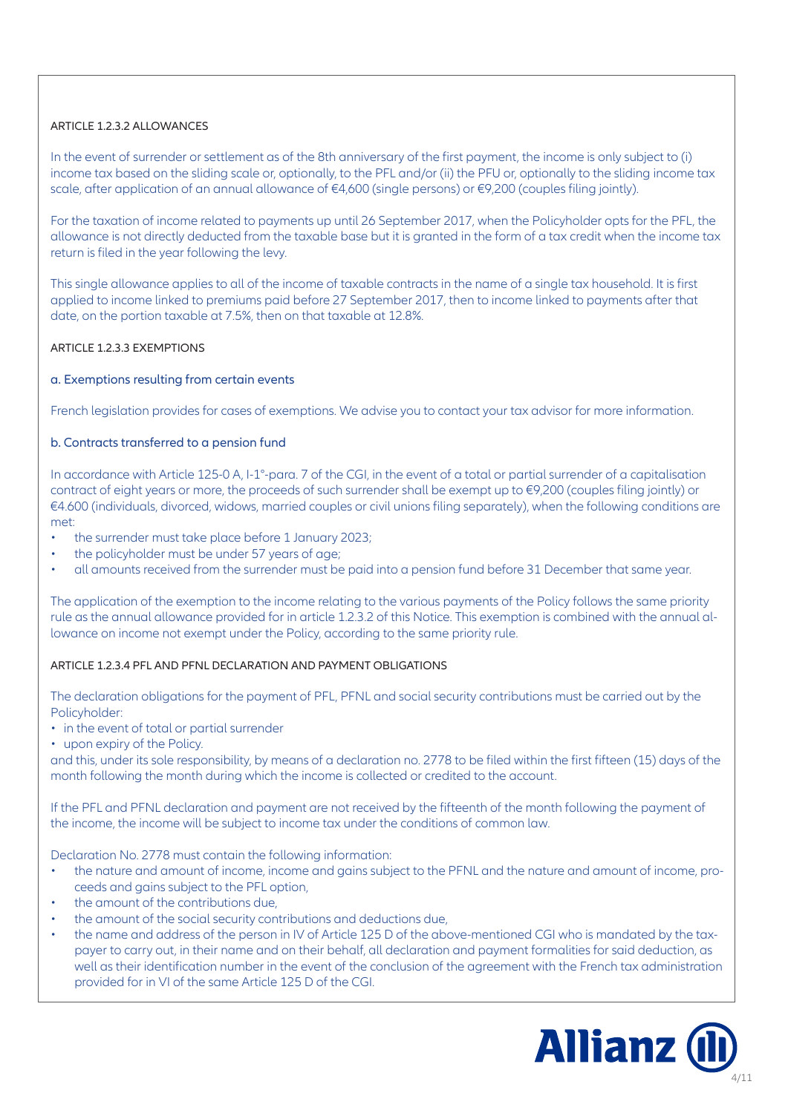# ARTICLE 1.2.3.2 ALLOWANCES

In the event of surrender or settlement as of the 8th anniversary of the first payment, the income is only subject to (i) income tax based on the sliding scale or, optionally, to the PFL and/or (ii) the PFU or, optionally to the sliding income tax scale, after application of an annual allowance of €4,600 (single persons) or €9,200 (couples filing jointly).

For the taxation of income related to payments up until 26 September 2017, when the Policyholder opts for the PFL, the allowance is not directly deducted from the taxable base but it is granted in the form of a tax credit when the income tax return is filed in the year following the levy.

This single allowance applies to all of the income of taxable contracts in the name of a single tax household. It is first applied to income linked to premiums paid before 27 September 2017, then to income linked to payments after that date, on the portion taxable at 7.5%, then on that taxable at 12.8%.

## ARTICLE 1.2.3.3 EXEMPTIONS

## a. Exemptions resulting from certain events

French legislation provides for cases of exemptions. We advise you to contact your tax advisor for more information.

## b. Contracts transferred to a pension fund

In accordance with Article 125-0 A, I-1°-para. 7 of the CGI, in the event of a total or partial surrender of a capitalisation contract of eight years or more, the proceeds of such surrender shall be exempt up to €9,200 (couples filing jointly) or €4.600 (individuals, divorced, widows, married couples or civil unions filing separately), when the following conditions are met:

- the surrender must take place before 1 January 2023;
- the policyholder must be under 57 years of age;
- all amounts received from the surrender must be paid into a pension fund before 31 December that same year.

The application of the exemption to the income relating to the various payments of the Policy follows the same priority rule as the annual allowance provided for in article 1.2.3.2 of this Notice. This exemption is combined with the annual allowance on income not exempt under the Policy, according to the same priority rule.

#### ARTICLE 1.2.3.4 PFL AND PFNL DECLARATION AND PAYMENT OBLIGATIONS

The declaration obligations for the payment of PFL, PFNL and social security contributions must be carried out by the Policyholder:

- in the event of total or partial surrender
- upon expiry of the Policy.

and this, under its sole responsibility, by means of a declaration no. 2778 to be filed within the first fifteen (15) days of the month following the month during which the income is collected or credited to the account.

If the PFL and PFNL declaration and payment are not received by the fifteenth of the month following the payment of the income, the income will be subject to income tax under the conditions of common law.

Declaration No. 2778 must contain the following information:

- the nature and amount of income, income and gains subject to the PFNL and the nature and amount of income, proceeds and gains subject to the PFL option,
- the amount of the contributions due,
- the amount of the social security contributions and deductions due,
- the name and address of the person in IV of Article 125 D of the above-mentioned CGI who is mandated by the taxpayer to carry out, in their name and on their behalf, all declaration and payment formalities for said deduction, as well as their identification number in the event of the conclusion of the agreement with the French tax administration provided for in VI of the same Article 125 D of the CGI.

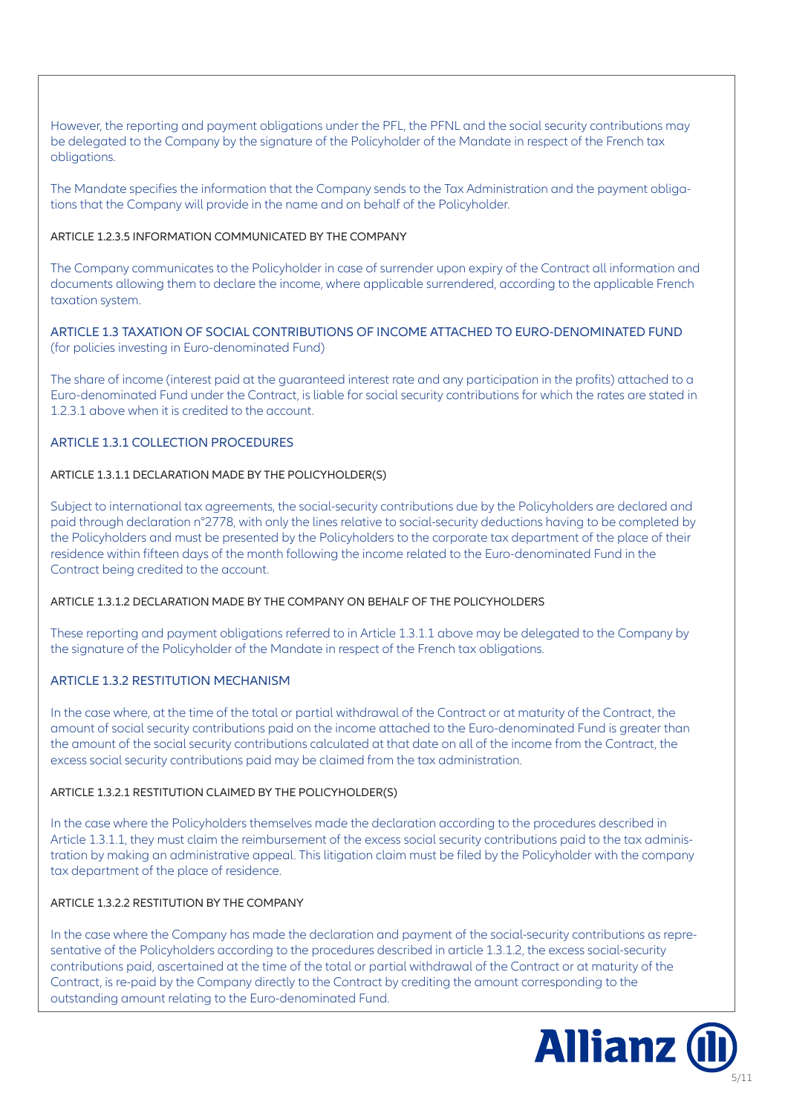However, the reporting and payment obligations under the PFL, the PFNL and the social security contributions may be delegated to the Company by the signature of the Policyholder of the Mandate in respect of the French tax obligations.

The Mandate specifies the information that the Company sends to the Tax Administration and the payment obligations that the Company will provide in the name and on behalf of the Policyholder.

#### ARTICLE 1.2.3.5 INFORMATION COMMUNICATED BY THE COMPANY

The Company communicates to the Policyholder in case of surrender upon expiry of the Contract all information and documents allowing them to declare the income, where applicable surrendered, according to the applicable French taxation system.

# ARTICLE 1.3 TAXATION OF SOCIAL CONTRIBUTIONS OF INCOME ATTACHED TO EURO-DENOMINATED FUND (for policies investing in Euro-denominated Fund)

The share of income (interest paid at the guaranteed interest rate and any participation in the profits) attached to a Euro-denominated Fund under the Contract, is liable for social security contributions for which the rates are stated in 1.2.3.1 above when it is credited to the account.

# ARTICLE 1.3.1 COLLECTION PROCEDURES

#### ARTICLE 1.3.1.1 DECLARATION MADE BY THE POLICYHOLDER(S)

Subject to international tax agreements, the social-security contributions due by the Policyholders are declared and paid through declaration n°2778, with only the lines relative to social-security deductions having to be completed by the Policyholders and must be presented by the Policyholders to the corporate tax department of the place of their residence within fifteen days of the month following the income related to the Euro-denominated Fund in the Contract being credited to the account.

#### ARTICLE 1.3.1.2 DECLARATION MADE BY THE COMPANY ON BEHALF OF THE POLICYHOLDERS

These reporting and payment obligations referred to in Article 1.3.1.1 above may be delegated to the Company by the signature of the Policyholder of the Mandate in respect of the French tax obligations.

# ARTICLE 1.3.2 RESTITUTION MECHANISM

In the case where, at the time of the total or partial withdrawal of the Contract or at maturity of the Contract, the amount of social security contributions paid on the income attached to the Euro-denominated Fund is greater than the amount of the social security contributions calculated at that date on all of the income from the Contract, the excess social security contributions paid may be claimed from the tax administration.

#### ARTICLE 1.3.2.1 RESTITUTION CLAIMED BY THE POLICYHOLDER(S)

In the case where the Policyholders themselves made the declaration according to the procedures described in Article 1.3.1.1, they must claim the reimbursement of the excess social security contributions paid to the tax administration by making an administrative appeal. This litigation claim must be filed by the Policyholder with the company tax department of the place of residence.

#### ARTICLE 1.3.2.2 RESTITUTION BY THE COMPANY

In the case where the Company has made the declaration and payment of the social-security contributions as representative of the Policyholders according to the procedures described in article 1.3.1.2, the excess social-security contributions paid, ascertained at the time of the total or partial withdrawal of the Contract or at maturity of the Contract, is re-paid by the Company directly to the Contract by crediting the amount corresponding to the outstanding amount relating to the Euro-denominated Fund.

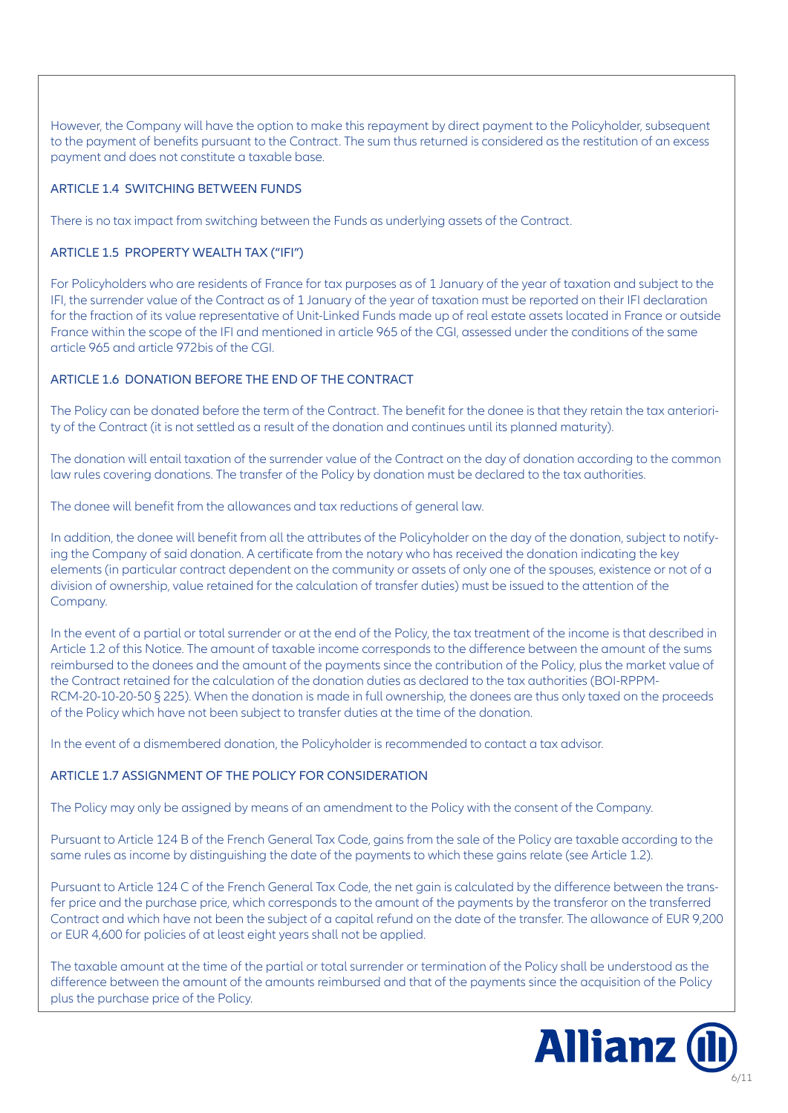However, the Company will have the option to make this repayment by direct payment to the Policyholder, subsequent to the payment of benefits pursuant to the Contract. The sum thus returned is considered as the restitution of an excess payment and does not constitute a taxable base.

# ARTICLE 1.4 SWITCHING BETWEEN FUNDS

There is no tax impact from switching between the Funds as underlying assets of the Contract.

# ARTICLE 1.5 PROPERTY WEALTH TAX ("IFI")

For Policyholders who are residents of France for tax purposes as of 1 January of the year of taxation and subject to the IFI, the surrender value of the Contract as of 1 January of the year of taxation must be reported on their IFI declaration for the fraction of its value representative of Unit-Linked Funds made up of real estate assets located in France or outside France within the scope of the IFI and mentioned in article 965 of the CGI, assessed under the conditions of the same article 965 and article 972bis of the CGI.

# ARTICLE 1.6 DONATION BEFORE THE END OF THE CONTRACT

The Policy can be donated before the term of the Contract. The benefit for the donee is that they retain the tax anteriority of the Contract (it is not settled as a result of the donation and continues until its planned maturity).

The donation will entail taxation of the surrender value of the Contract on the day of donation according to the common law rules covering donations. The transfer of the Policy by donation must be declared to the tax authorities.

The donee will benefit from the allowances and tax reductions of general law.

In addition, the donee will benefit from all the attributes of the Policyholder on the day of the donation, subject to notifying the Company of said donation. A certificate from the notary who has received the donation indicating the key elements (in particular contract dependent on the community or assets of only one of the spouses, existence or not of a division of ownership, value retained for the calculation of transfer duties) must be issued to the attention of the Company.

In the event of a partial or total surrender or at the end of the Policy, the tax treatment of the income is that described in Article 1.2 of this Notice. The amount of taxable income corresponds to the difference between the amount of the sums reimbursed to the donees and the amount of the payments since the contribution of the Policy, plus the market value of the Contract retained for the calculation of the donation duties as declared to the tax authorities (BOI-RPPM-RCM-20-10-20-50 § 225). When the donation is made in full ownership, the donees are thus only taxed on the proceeds of the Policy which have not been subject to transfer duties at the time of the donation.

In the event of a dismembered donation, the Policyholder is recommended to contact a tax advisor.

# ARTICLE 1.7 ASSIGNMENT OF THE POLICY FOR CONSIDERATION

The Policy may only be assigned by means of an amendment to the Policy with the consent of the Company.

Pursuant to Article 124 B of the French General Tax Code, gains from the sale of the Policy are taxable according to the same rules as income by distinguishing the date of the payments to which these gains relate (see Article 1.2).

Pursuant to Article 124 C of the French General Tax Code, the net gain is calculated by the difference between the transfer price and the purchase price, which corresponds to the amount of the payments by the transferor on the transferred Contract and which have not been the subject of a capital refund on the date of the transfer. The allowance of EUR 9,200 or EUR 4,600 for policies of at least eight years shall not be applied.

The taxable amount at the time of the partial or total surrender or termination of the Policy shall be understood as the difference between the amount of the amounts reimbursed and that of the payments since the acquisition of the Policy plus the purchase price of the Policy.

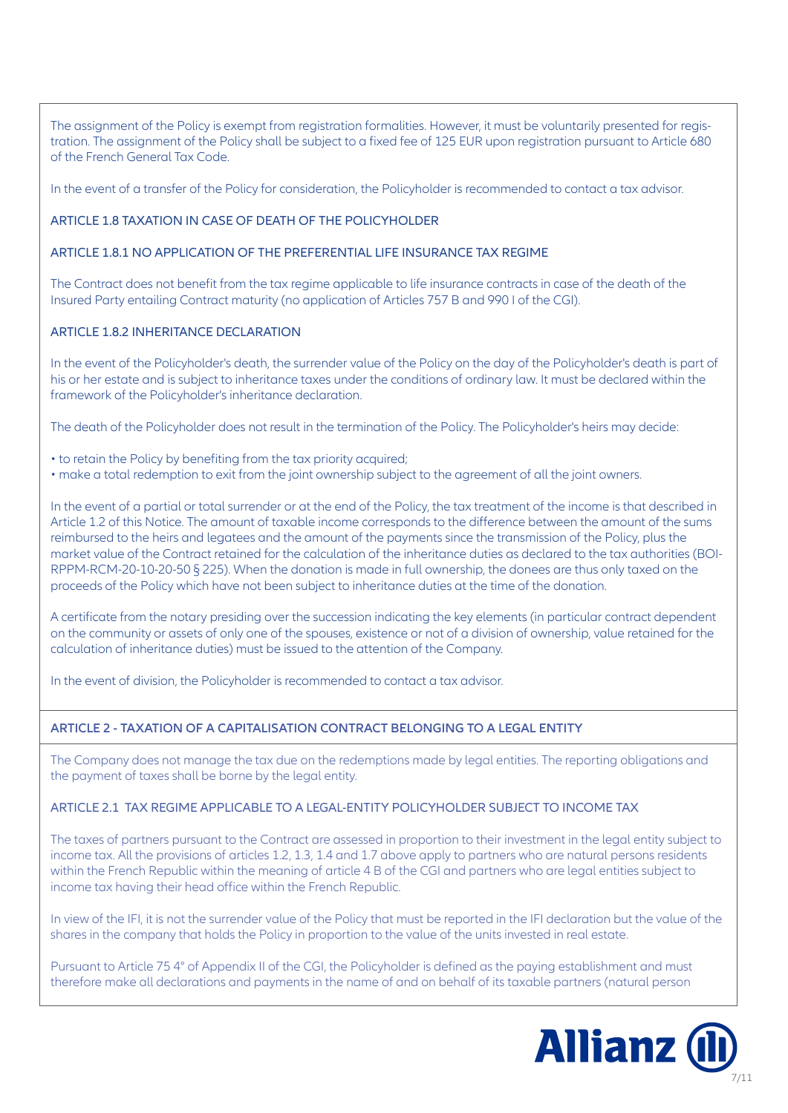The assignment of the Policy is exempt from registration formalities. However, it must be voluntarily presented for registration. The assignment of the Policy shall be subject to a fixed fee of 125 EUR upon registration pursuant to Article 680 of the French General Tax Code.

In the event of a transfer of the Policy for consideration, the Policyholder is recommended to contact a tax advisor.

# ARTICLE 1.8 TAXATION IN CASE OF DEATH OF THE POLICYHOLDER

# ARTICLE 1.8.1 NO APPLICATION OF THE PREFERENTIAL LIFE INSURANCE TAX REGIME

The Contract does not benefit from the tax regime applicable to life insurance contracts in case of the death of the Insured Party entailing Contract maturity (no application of Articles 757 B and 990 I of the CGI).

## ARTICLE 1.8.2 INHERITANCE DECLARATION

In the event of the Policyholder's death, the surrender value of the Policy on the day of the Policyholder's death is part of his or her estate and is subject to inheritance taxes under the conditions of ordinary law. It must be declared within the framework of the Policyholder's inheritance declaration.

The death of the Policyholder does not result in the termination of the Policy. The Policyholder's heirs may decide:

- to retain the Policy by benefiting from the tax priority acquired;
- make a total redemption to exit from the joint ownership subject to the agreement of all the joint owners.

In the event of a partial or total surrender or at the end of the Policy, the tax treatment of the income is that described in Article 1.2 of this Notice. The amount of taxable income corresponds to the difference between the amount of the sums reimbursed to the heirs and legatees and the amount of the payments since the transmission of the Policy, plus the market value of the Contract retained for the calculation of the inheritance duties as declared to the tax authorities (BOI-RPPM-RCM-20-10-20-50 § 225). When the donation is made in full ownership, the donees are thus only taxed on the proceeds of the Policy which have not been subject to inheritance duties at the time of the donation.

A certificate from the notary presiding over the succession indicating the key elements (in particular contract dependent on the community or assets of only one of the spouses, existence or not of a division of ownership, value retained for the calculation of inheritance duties) must be issued to the attention of the Company.

In the event of division, the Policyholder is recommended to contact a tax advisor.

# **ARTICLE 2 - TAXATION OF A CAPITALISATION CONTRACT BELONGING TO A LEGAL ENTITY**

The Company does not manage the tax due on the redemptions made by legal entities. The reporting obligations and the payment of taxes shall be borne by the legal entity.

# ARTICLE 2.1 TAX REGIME APPLICABLE TO A LEGAL-ENTITY POLICYHOLDER SUBJECT TO INCOME TAX

The taxes of partners pursuant to the Contract are assessed in proportion to their investment in the legal entity subject to income tax. All the provisions of articles 1.2, 1.3, 1.4 and 1.7 above apply to partners who are natural persons residents within the French Republic within the meaning of article 4 B of the CGI and partners who are legal entities subject to income tax having their head office within the French Republic.

In view of the IFI, it is not the surrender value of the Policy that must be reported in the IFI declaration but the value of the shares in the company that holds the Policy in proportion to the value of the units invested in real estate.

Pursuant to Article 75 4° of Appendix II of the CGI, the Policyholder is defined as the paying establishment and must therefore make all declarations and payments in the name of and on behalf of its taxable partners (natural person

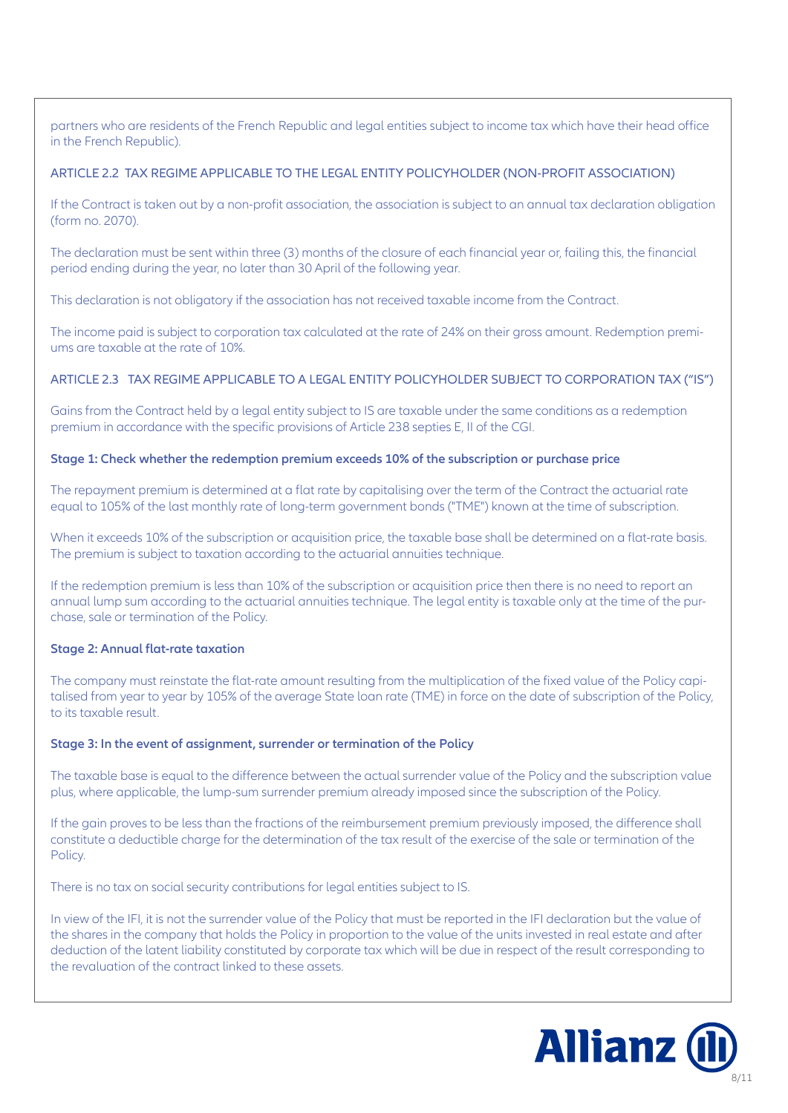partners who are residents of the French Republic and legal entities subject to income tax which have their head office in the French Republic).

## ARTICLE 2.2 TAX REGIME APPLICABLE TO THE LEGAL ENTITY POLICYHOLDER (NON-PROFIT ASSOCIATION)

If the Contract is taken out by a non-profit association, the association is subject to an annual tax declaration obligation (form no. 2070).

The declaration must be sent within three (3) months of the closure of each financial year or, failing this, the financial period ending during the year, no later than 30 April of the following year.

This declaration is not obligatory if the association has not received taxable income from the Contract.

The income paid is subject to corporation tax calculated at the rate of 24% on their gross amount. Redemption premiums are taxable at the rate of 10%.

# ARTICLE 2.3 TAX REGIME APPLICABLE TO A LEGAL ENTITY POLICYHOLDER SUBJECT TO CORPORATION TAX ("IS")

Gains from the Contract held by a legal entity subject to IS are taxable under the same conditions as a redemption premium in accordance with the specific provisions of Article 238 septies E, II of the CGI.

## **Stage 1: Check whether the redemption premium exceeds 10% of the subscription or purchase price**

The repayment premium is determined at a flat rate by capitalising over the term of the Contract the actuarial rate equal to 105% of the last monthly rate of long-term government bonds ("TME") known at the time of subscription.

When it exceeds 10% of the subscription or acquisition price, the taxable base shall be determined on a flat-rate basis. The premium is subject to taxation according to the actuarial annuities technique.

If the redemption premium is less than 10% of the subscription or acquisition price then there is no need to report an annual lump sum according to the actuarial annuities technique. The legal entity is taxable only at the time of the purchase, sale or termination of the Policy.

# **Stage 2: Annual flat-rate taxation**

The company must reinstate the flat-rate amount resulting from the multiplication of the fixed value of the Policy capitalised from year to year by 105% of the average State loan rate (TME) in force on the date of subscription of the Policy, to its taxable result.

#### **Stage 3: In the event of assignment, surrender or termination of the Policy**

The taxable base is equal to the difference between the actual surrender value of the Policy and the subscription value plus, where applicable, the lump-sum surrender premium already imposed since the subscription of the Policy.

If the gain proves to be less than the fractions of the reimbursement premium previously imposed, the difference shall constitute a deductible charge for the determination of the tax result of the exercise of the sale or termination of the Policy.

There is no tax on social security contributions for legal entities subject to IS.

In view of the IFI, it is not the surrender value of the Policy that must be reported in the IFI declaration but the value of the shares in the company that holds the Policy in proportion to the value of the units invested in real estate and after deduction of the latent liability constituted by corporate tax which will be due in respect of the result corresponding to the revaluation of the contract linked to these assets.

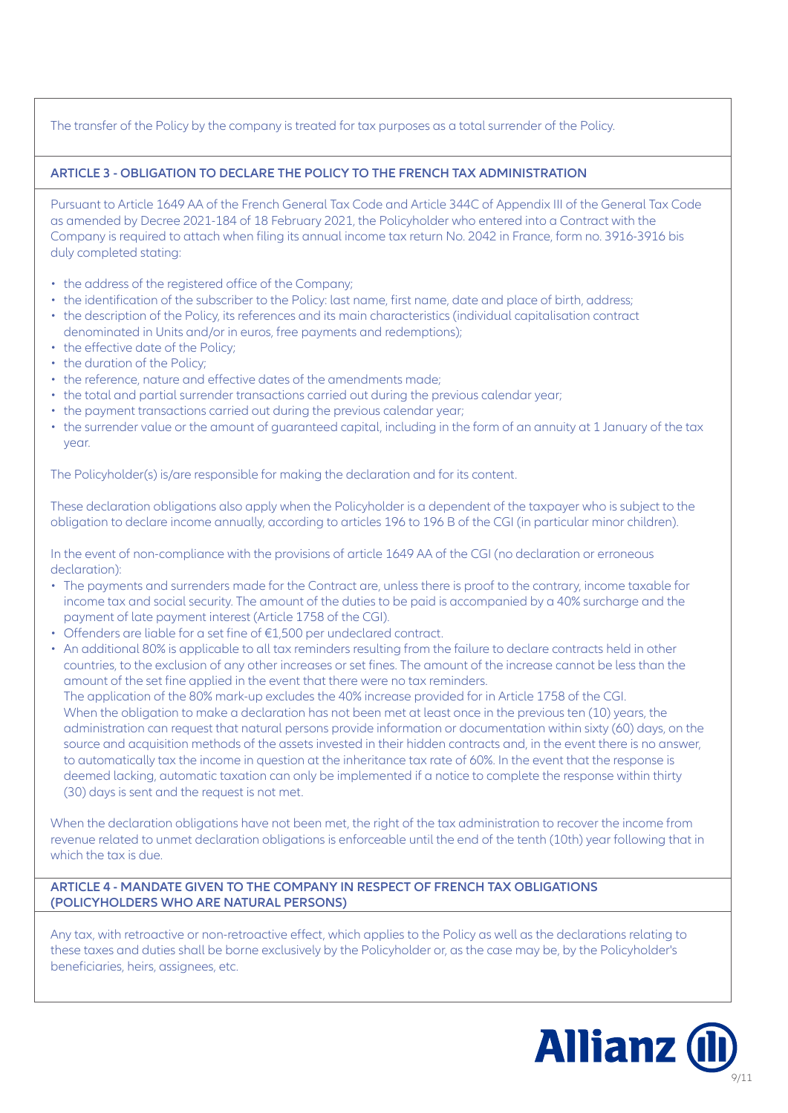# The transfer of the Policy by the company is treated for tax purposes as a total surrender of the Policy.

# **ARTICLE 3 - OBLIGATION TO DECLARE THE POLICY TO THE FRENCH TAX ADMINISTRATION**

Pursuant to Article 1649 AA of the French General Tax Code and Article 344C of Appendix III of the General Tax Code as amended by Decree 2021-184 of 18 February 2021, the Policyholder who entered into a Contract with the Company is required to attach when filing its annual income tax return No. 2042 in France, form no. 3916-3916 bis duly completed stating:

- the address of the registered office of the Company;
- the identification of the subscriber to the Policy: last name, first name, date and place of birth, address;
- the description of the Policy, its references and its main characteristics (individual capitalisation contract denominated in Units and/or in euros, free payments and redemptions);
- the effective date of the Policy;
- the duration of the Policy;
- the reference, nature and effective dates of the amendments made;
- the total and partial surrender transactions carried out during the previous calendar year;
- the payment transactions carried out during the previous calendar year;
- the surrender value or the amount of guaranteed capital, including in the form of an annuity at 1 January of the tax year.

The Policyholder(s) is/are responsible for making the declaration and for its content.

These declaration obligations also apply when the Policyholder is a dependent of the taxpayer who is subject to the obligation to declare income annually, according to articles 196 to 196 B of the CGI (in particular minor children).

In the event of non-compliance with the provisions of article 1649 AA of the CGI (no declaration or erroneous declaration):

- The payments and surrenders made for the Contract are, unless there is proof to the contrary, income taxable for income tax and social security. The amount of the duties to be paid is accompanied by a 40% surcharge and the payment of late payment interest (Article 1758 of the CGI).
- Offenders are liable for a set fine of €1,500 per undeclared contract.
- An additional 80% is applicable to all tax reminders resulting from the failure to declare contracts held in other countries, to the exclusion of any other increases or set fines. The amount of the increase cannot be less than the amount of the set fine applied in the event that there were no tax reminders.

The application of the 80% mark-up excludes the 40% increase provided for in Article 1758 of the CGI. When the obligation to make a declaration has not been met at least once in the previous ten (10) years, the administration can request that natural persons provide information or documentation within sixty (60) days, on the source and acquisition methods of the assets invested in their hidden contracts and, in the event there is no answer, to automatically tax the income in question at the inheritance tax rate of 60%. In the event that the response is deemed lacking, automatic taxation can only be implemented if a notice to complete the response within thirty (30) days is sent and the request is not met.

When the declaration obligations have not been met, the right of the tax administration to recover the income from revenue related to unmet declaration obligations is enforceable until the end of the tenth (10th) year following that in which the tax is due.

## **ARTICLE 4 - MANDATE GIVEN TO THE COMPANY IN RESPECT OF FRENCH TAX OBLIGATIONS (POLICYHOLDERS WHO ARE NATURAL PERSONS)**

Any tax, with retroactive or non-retroactive effect, which applies to the Policy as well as the declarations relating to these taxes and duties shall be borne exclusively by the Policyholder or, as the case may be, by the Policyholder's beneficiaries, heirs, assignees, etc.